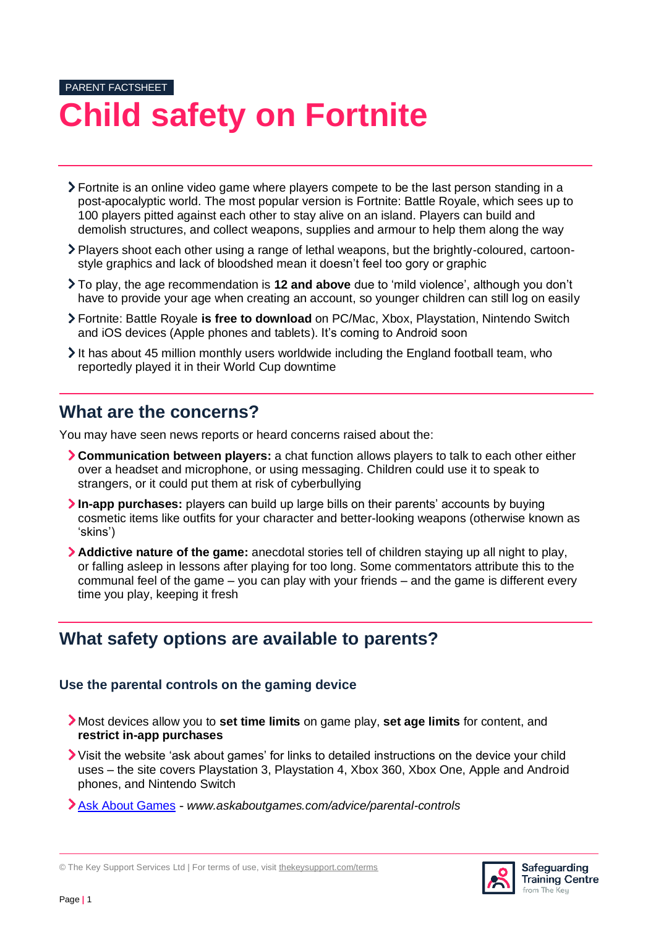# PARENT FACTSHEET **Child safety on Fortnite**

- Fortnite is an online video game where players compete to be the last person standing in a post-apocalyptic world. The most popular version is Fortnite: Battle Royale, which sees up to 100 players pitted against each other to stay alive on an island. Players can build and demolish structures, and collect weapons, supplies and armour to help them along the way
- Players shoot each other using a range of lethal weapons, but the brightly-coloured, cartoonstyle graphics and lack of bloodshed mean it doesn't feel too gory or graphic
- To play, the age recommendation is **12 and above** due to 'mild violence', although you don't have to provide your age when creating an account, so younger children can still log on easily
- Fortnite: Battle Royale **is free to download** on PC/Mac, Xbox, Playstation, Nintendo Switch and iOS devices (Apple phones and tablets). It's coming to Android soon
- It has about 45 million monthly users worldwide including the England football team, who reportedly played it in their World Cup downtime

### **What are the concerns?**

You may have seen news reports or heard concerns raised about the:

- **Communication between players:** a chat function allows players to talk to each other either over a headset and microphone, or using messaging. Children could use it to speak to strangers, or it could put them at risk of cyberbullying
- **In-app purchases:** players can build up large bills on their parents' accounts by buying cosmetic items like outfits for your character and better-looking weapons (otherwise known as 'skins')
- **Addictive nature of the game:** anecdotal stories tell of children staying up all night to play, or falling asleep in lessons after playing for too long. Some commentators attribute this to the communal feel of the game – you can play with your friends – and the game is different every time you play, keeping it fresh

### **What safety options are available to parents?**

#### **Use the parental controls on the gaming device**

- Most devices allow you to **set time limits** on game play, **set age limits** for content, and **restrict in-app purchases**
- Visit the website 'ask about games' for links to detailed instructions on the device your child uses – the site covers Playstation 3, Playstation 4, Xbox 360, Xbox One, Apple and Android phones, and Nintendo Switch
- [Ask About Games](http://www.askaboutgames.com/advice/parental-controls) *www.askaboutgames.com/advice/parental-controls*



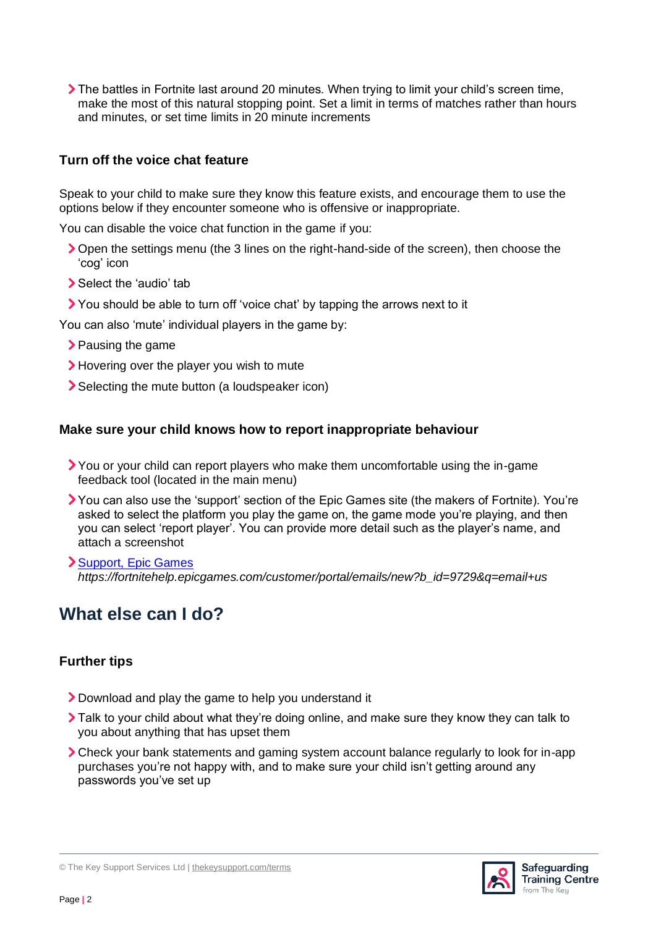The battles in Fortnite last around 20 minutes. When trying to limit your child's screen time, make the most of this natural stopping point. Set a limit in terms of matches rather than hours and minutes, or set time limits in 20 minute increments

#### **Turn off the voice chat feature**

Speak to your child to make sure they know this feature exists, and encourage them to use the options below if they encounter someone who is offensive or inappropriate.

You can disable the voice chat function in the game if you:

- Open the settings menu (the 3 lines on the right-hand-side of the screen), then choose the 'cog' icon
- Select the 'audio' tab
- You should be able to turn off 'voice chat' by tapping the arrows next to it

You can also 'mute' individual players in the game by:

- > Pausing the game
- > Hovering over the player you wish to mute
- Selecting the mute button (a loudspeaker icon)

#### **Make sure your child knows how to report inappropriate behaviour**

- You or your child can report players who make them uncomfortable using the in-game feedback tool (located in the main menu)
- You can also use the 'support' section of the Epic Games site (the makers of Fortnite). You're asked to select the platform you play the game on, the game mode you're playing, and then you can select 'report player'. You can provide more detail such as the player's name, and attach a screenshot

[Support, Epic Games](https://fortnitehelp.epicgames.com/customer/portal/emails/new?b_id=9729&q=email+us) *https://fortnitehelp.epicgames.com/customer/portal/emails/new?b\_id=9729&q=email+us*

## **What else can I do?**

#### **Further tips**

- Download and play the game to help you understand it
- Talk to your child about what they're doing online, and make sure they know they can talk to you about anything that has upset them
- Check your bank statements and gaming system account balance regularly to look for in-app purchases you're not happy with, and to make sure your child isn't getting around any passwords you've set up